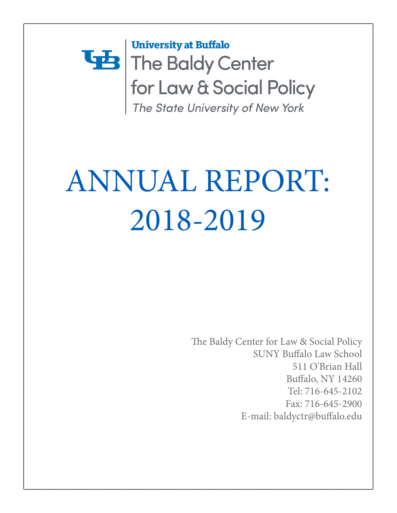## **University at Buffalo** The Baldy Center for Law & Social Policy The State University of New York

# ANNUAL REPORT: 2018-2019

The Baldy Center for Law & Social Policy SUNY Buffalo Law School 511 O'Brian Hall Buffalo, NY 14260 Tel: 716-645-2102 Fax: 716-645-2900 E-mail: baldyctr@buffalo.edu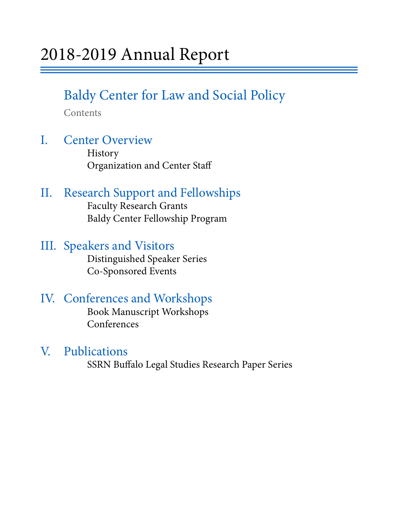## Baldy Center for Law and Social Policy

Contents

## I. Center Overview History

Organization and Center Staff

## II. Research Support and Fellowships Faculty Research Grants

Baldy Center Fellowship Program

## III. Speakers and Visitors<br>Distinguished Speaker Series

Co-Sponsored Events

## IV. Conferences and Workshops Book Manuscript Workshops

Conferences

V. Publications<br>SSRN Buffalo Legal Studies Research Paper Series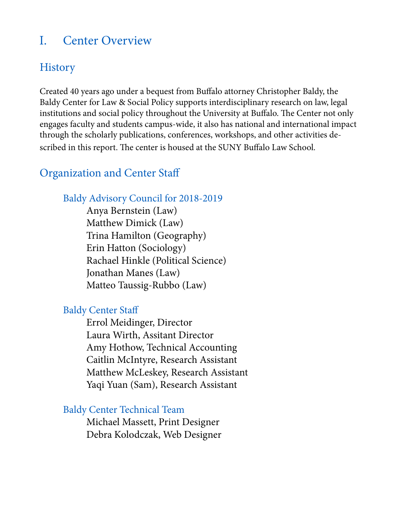## I. Center Overview

## **History**

Created 40 years ago under a bequest from Buffalo attorney Christopher Baldy, the Baldy Center for Law & Social Policy supports interdisciplinary research on law, legal institutions and social policy throughout the University at Buffalo. The Center not only engages faculty and students campus-wide, it also has national and international impact through the scholarly publications, conferences, workshops, and other activities described in this report. The center is housed at the SUNY Buffalo Law School.

## Organization and Center Staff

### Baldy Advisory Council for 2018-2019

 Anya Bernstein (Law) Matthew Dimick (Law) Trina Hamilton (Geography) Erin Hatton (Sociology) Rachael Hinkle (Political Science) Jonathan Manes (Law) Matteo Taussig-Rubbo (Law)

#### Baldy Center Staff

 Errol Meidinger, Director Laura Wirth, Assitant Director Amy Hothow, Technical Accounting Caitlin McIntyre, Research Assistant Matthew McLeskey, Research Assistant Yaqi Yuan (Sam), Research Assistant

#### Baldy Center Technical Team

 Michael Massett, Print Designer Debra Kolodczak, Web Designer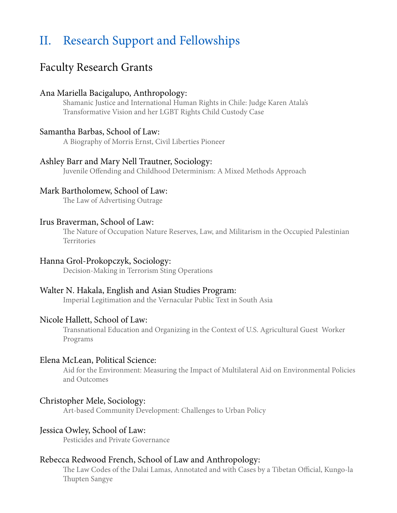## II. Research Support and Fellowships

### Faculty Research Grants

#### Ana Mariella Bacigalupo, Anthropology:

Shamanic Justice and International Human Rights in Chile: Judge Karen Atala's Transformative Vision and her LGBT Rights Child Custody Case

#### Samantha Barbas, School of Law:

A Biography of Morris Ernst, Civil Liberties Pioneer

#### Ashley Barr and Mary Nell Trautner, Sociology:

Juvenile Offending and Childhood Determinism: A Mixed Methods Approach

#### Mark Bartholomew, School of Law:

The Law of Advertising Outrage

#### Irus Braverman, School of Law:

The Nature of Occupation Nature Reserves, Law, and Militarism in the Occupied Palestinian **Territories** 

#### Hanna Grol-Prokopczyk, Sociology:

Decision-Making in Terrorism Sting Operations

#### Walter N. Hakala, English and Asian Studies Program:

Imperial Legitimation and the Vernacular Public Text in South Asia

#### Nicole Hallett, School of Law:

Transnational Education and Organizing in the Context of U.S. Agricultural Guest Worker Programs

#### Elena McLean, Political Science:

Aid for the Environment: Measuring the Impact of Multilateral Aid on Environmental Policies and Outcomes

#### Christopher Mele, Sociology:

Art-based Community Development: Challenges to Urban Policy

#### Jessica Owley, School of Law:

Pesticides and Private Governance

#### Rebecca Redwood French, School of Law and Anthropology:

The Law Codes of the Dalai Lamas, Annotated and with Cases by a Tibetan Official, Kungo-la Thupten Sangye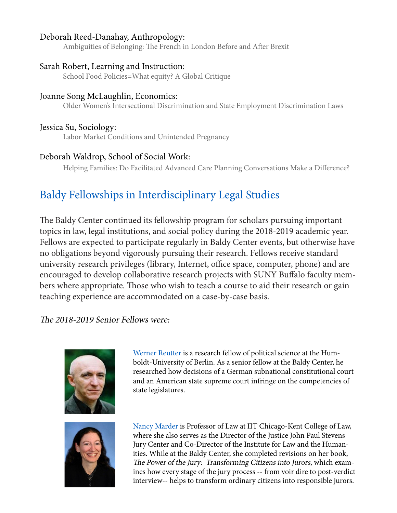#### Deborah Reed-Danahay, Anthropology:

Ambiguities of Belonging: The French in London Before and After Brexit

#### Sarah Robert, Learning and Instruction:

School Food Policies=What equity? A Global Critique

#### Joanne Song McLaughlin, Economics:

Older Women's Intersectional Discrimination and State Employment Discrimination Laws

#### Jessica Su, Sociology:

Labor Market Conditions and Unintended Pregnancy

#### Deborah Waldrop, School of Social Work:

Helping Families: Do Facilitated Advanced Care Planning Conversations Make a Difference?

## Baldy Fellowships in Interdisciplinary Legal Studies

The Baldy Center continued its fellowship program for scholars pursuing important topics in law, legal institutions, and social policy during the 2018-2019 academic year. Fellows are expected to participate regularly in Baldy Center events, but otherwise have no obligations beyond vigorously pursuing their research. Fellows receive standard university research privileges (library, Internet, office space, computer, phone) and are encouraged to develop collaborative research projects with SUNY Buffalo faculty members where appropriate. Those who wish to teach a course to aid their research or gain teaching experience are accommodated on a case-by-case basis.

#### The 2018-2019 Senior Fellows were:





Werner Reutter is a research fellow of political science at the Hum boldt-University of Berlin. As a senior fellow at the Baldy Center, he researched how decisions of a German subnational constitutional court and an American state supreme court infringe on the competencies of state legislatures.

Nancy Marder is Professor of Law at IIT Chicago-Kent College of Law, where she also serves as the Director of the Justice John Paul Stevens Jury Center and Co-Director of the Institute for Law and the Human ities. While at the Baldy Center, she completed revisions on her book, The Power of the Jury: Transforming Citizens into Jurors, which exam ines how every stage of the jury process -- from voir dire to post-verdict interview-- helps to transform ordinary citizens into responsible jurors.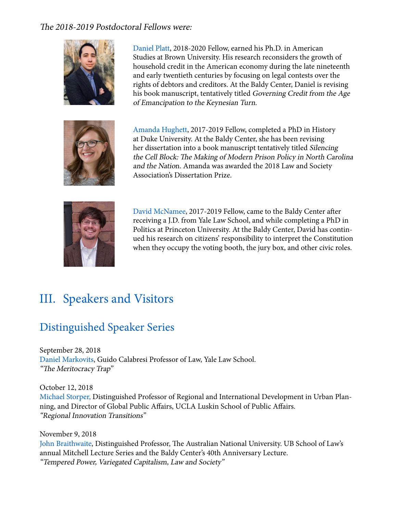#### The 2018-2019 Postdoctoral Fellows were:



 Daniel Platt, 2018-2020 Fellow, earned his Ph.D. in American Studies at Brown University. His research reconsiders the growth of household credit in the American economy during the late nineteenth and early twentieth centuries by focusing on legal contests over the rights of debtors and creditors. At the Baldy Center, Daniel is revising his book manuscript, tentatively titled Governing Credit from the Age of Emancipation to the Keynesian Turn.



Amanda Hughett, 2017-2019 Fellow, completed a PhD in History at Duke University. At the Baldy Center, she has been revising her dissertation into a book manuscript tentatively titled Silencing the Cell Block: The Making of Modern Prison Policy in North Carolina and the Nation. Amanda was awarded the 2018 Law and Society Association's Dissertation Prize.



David McNamee, 2017-2019 Fellow, came to the Baldy Center after receiving a J.D. from Yale Law School, and while completing a PhD in Politics at Princeton University. At the Baldy Center, David has contin ued his research on citizens' responsibility to interpret the Constitution when they occupy the voting booth, the jury box, and other civic roles.

## III. Speakers and Visitors

## Distinguished Speaker Series

September 28, 2018 Daniel Markovits, Guido Calabresi Professor of Law, Yale Law School. "The Meritocracy Trap"

October 12, 2018 Michael Storper, Distinguished Professor of Regional and International Development in Urban Planning, and Director of Global Public Affairs, UCLA Luskin School of Public Affairs. "Regional Innovation Transitions"

November 9, 2018 John Braithwaite, Distinguished Professor, The Australian National University. UB School of Law's annual Mitchell Lecture Series and the Baldy Center's 40th Anniversary Lecture. "Tempered Power, Variegated Capitalism, Law and Society"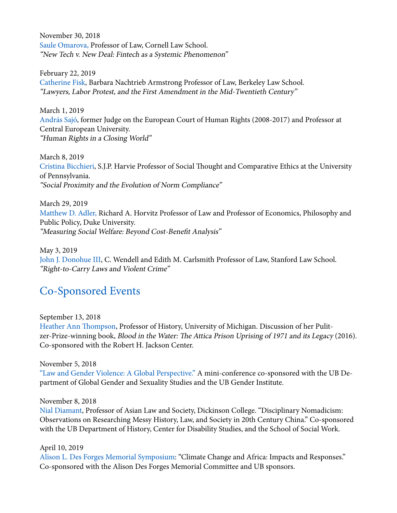November 30, 2018 Saule Omarova, Professor of Law, Cornell Law School. "New Tech v. New Deal: Fintech as a Systemic Phenomenon"

February 22, 2019 Catherine Fisk, Barbara Nachtrieb Armstrong Professor of Law, Berkeley Law School. "Lawyers, Labor Protest, and the First Amendment in the Mid-Twentieth Century"

March 1, 2019 András Sajó, former Judge on the European Court of Human Rights (2008-2017) and Professor at Central European University. "Human Rights in a Closing World"

March 8, 2019 Cristina Bicchieri, S.J.P. Harvie Professor of Social Thought and Comparative Ethics at the University of Pennsylvania. "Social Proximity and the Evolution of Norm Compliance"

March 29, 2019 Matthew D. Adler, Richard A. Horvitz Professor of Law and Professor of Economics, Philosophy and Public Policy, Duke University. "Measuring Social Welfare: Beyond Cost-Benefit Analysis"

May 3, 2019 John J. Donohue III, C. Wendell and Edith M. Carlsmith Professor of Law, Stanford Law School. "Right-to-Carry Laws and Violent Crime"

### Co-Sponsored Events

September 13, 2018

Heather Ann Thompson, Professor of History, University of Michigan. Discussion of her Pulitzer-Prize-winning book, Blood in the Water: The Attica Prison Uprising of 1971 and its Legacy (2016). Co-sponsored with the Robert H. Jackson Center.

November 5, 2018

"Law and Gender Violence: A Global Perspective." A mini-conference co-sponsored with the UB Department of Global Gender and Sexuality Studies and the UB Gender Institute.

#### November 8, 2018

Nial Diamant, Professor of Asian Law and Society, Dickinson College. "Disciplinary Nomadicism: Observations on Researching Messy History, Law, and Society in 20th Century China." Co-sponsored with the UB Department of History, Center for Disability Studies, and the School of Social Work.

#### April 10, 2019

Alison L. Des Forges Memorial Symposium: "Climate Change and Africa: Impacts and Responses." Co-sponsored with the Alison Des Forges Memorial Committee and UB sponsors.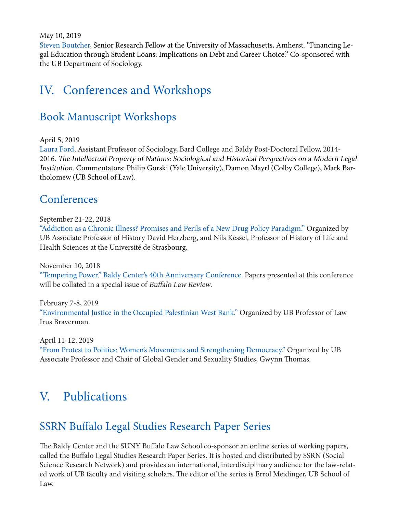May 10, 2019

Steven Boutcher, Senior Research Fellow at the University of Massachusetts, Amherst. "Financing Legal Education through Student Loans: Implications on Debt and Career Choice." Co-sponsored with the UB Department of Sociology.

## IV. Conferences and Workshops

## Book Manuscript Workshops

April 5, 2019

Laura Ford, Assistant Professor of Sociology, Bard College and Baldy Post-Doctoral Fellow, 2014- 2016. The Intellectual Property of Nations: Sociological and Historical Perspectives on a Modern Legal Institution. Commentators: Philip Gorski (Yale University), Damon Mayrl (Colby College), Mark Bartholomew (UB School of Law).

### **Conferences**

September 21-22, 2018

"Addiction as a Chronic Illness? Promises and Perils of a New Drug Policy Paradigm." Organized by UB Associate Professor of History David Herzberg, and Nils Kessel, Professor of History of Life and Health Sciences at the Université de Strasbourg.

November 10, 2018

"Tempering Power." Baldy Center's 40th Anniversary Conference. Papers presented at this conference will be collated in a special issue of Buffalo Law Review.

February 7-8, 2019 "Environmental Justice in the Occupied Palestinian West Bank." Organized by UB Professor of Law Irus Braverman.

April 11-12, 2019 "From Protest to Politics: Women's Movements and Strengthening Democracy." Organized by UB Associate Professor and Chair of Global Gender and Sexuality Studies, Gwynn Thomas.

## V. Publications

## SSRN Buffalo Legal Studies Research Paper Series

The Baldy Center and the SUNY Buffalo Law School co-sponsor an online series of working papers, called the Buffalo Legal Studies Research Paper Series. It is hosted and distributed by SSRN (Social Science Research Network) and provides an international, interdisciplinary audience for the law-related work of UB faculty and visiting scholars. The editor of the series is Errol Meidinger, UB School of Law.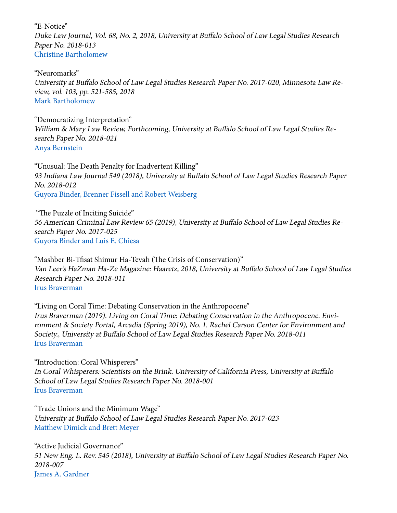"E-Notice" Duke Law Journal, Vol. 68, No. 2, 2018, University at Buffalo School of Law Legal Studies Research Paper No. 2018-013 Christine Bartholomew

"Neuromarks" University at Buffalo School of Law Legal Studies Research Paper No. 2017-020, Minnesota Law Review, vol. 103, pp. 521-585, 2018 Mark Bartholomew

"Democratizing Interpretation" William & Mary Law Review, Forthcoming, University at Buffalo School of Law Legal Studies Research Paper No. 2018-021 Anya Bernstein

"Unusual: The Death Penalty for Inadvertent Killing" 93 Indiana Law Journal 549 (2018), University at Buffalo School of Law Legal Studies Research Paper No. 2018-012 Guyora Binder, Brenner Fissell and Robert Weisberg

 "The Puzzle of Inciting Suicide" 56 American Criminal Law Review 65 (2019), University at Buffalo School of Law Legal Studies Research Paper No. 2017-025 Guyora Binder and Luis E. Chiesa

"Mashber Bi-Tfisat Shimur Ha-Tevah (The Crisis of Conservation)" Van Leer's HaZman Ha-Ze Magazine: Haaretz, 2018, University at Buffalo School of Law Legal Studies Research Paper No. 2018-011 Irus Braverman

"Living on Coral Time: Debating Conservation in the Anthropocene" Irus Braverman (2019). Living on Coral Time: Debating Conservation in the Anthropocene. Environment & Society Portal, Arcadia (Spring 2019), No. 1. Rachel Carson Center for Environment and Society., University at Buffalo School of Law Legal Studies Research Paper No. 2018-011 Irus Braverman

"Introduction: Coral Whisperers" In Coral Whisperers: Scientists on the Brink. University of California Press, University at Buffalo School of Law Legal Studies Research Paper No. 2018-001 Irus Braverman

"Trade Unions and the Minimum Wage" University at Buffalo School of Law Legal Studies Research Paper No. 2017-023 Matthew Dimick and Brett Meyer

"Active Judicial Governance" 51 New Eng. L. Rev. 545 (2018), University at Buffalo School of Law Legal Studies Research Paper No. 2018-007 James A. Gardner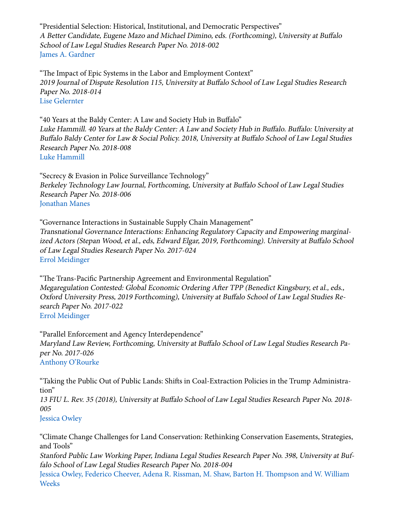"Presidential Selection: Historical, Institutional, and Democratic Perspectives" A Better Candidate, Eugene Mazo and Michael Dimino, eds. (Forthcoming), University at Buffalo School of Law Legal Studies Research Paper No. 2018-002 James A. Gardner

"The Impact of Epic Systems in the Labor and Employment Context" 2019 Journal of Dispute Resolution 115, University at Buffalo School of Law Legal Studies Research Paper No. 2018-014 Lise Gelernter

"40 Years at the Baldy Center: A Law and Society Hub in Buffalo" Luke Hammill. 40 Years at the Baldy Center: A Law and Society Hub in Buffalo. Buffalo: University at Buffalo Baldy Center for Law & Social Policy. 2018, University at Buffalo School of Law Legal Studies Research Paper No. 2018-008 Luke Hammill

"Secrecy & Evasion in Police Surveillance Technology" Berkeley Technology Law Journal, Forthcoming, University at Buffalo School of Law Legal Studies Research Paper No. 2018-006 Jonathan Manes

"Governance Interactions in Sustainable Supply Chain Management" Transnational Governance Interactions: Enhancing Regulatory Capacity and Empowering marginalized Actors (Stepan Wood, et al., eds, Edward Elgar, 2019, Forthcoming). University at Buffalo School of Law Legal Studies Research Paper No. 2017-024 Errol Meidinger

"The Trans-Pacific Partnership Agreement and Environmental Regulation" Megaregulation Contested: Global Economic Ordering After TPP (Benedict Kingsbury, et al., eds., Oxford University Press, 2019 Forthcoming), University at Buffalo School of Law Legal Studies Research Paper No. 2017-022 Errol Meidinger

"Parallel Enforcement and Agency Interdependence" Maryland Law Review, Forthcoming, University at Buffalo School of Law Legal Studies Research Paper No. 2017-026 Anthony O'Rourke

"Taking the Public Out of Public Lands: Shifts in Coal-Extraction Policies in the Trump Administration"

13 FIU L. Rev. 35 (2018), University at Buffalo School of Law Legal Studies Research Paper No. 2018- 005

Jessica Owley

"Climate Change Challenges for Land Conservation: Rethinking Conservation Easements, Strategies, and Tools"

Stanford Public Law Working Paper, Indiana Legal Studies Research Paper No. 398, University at Buffalo School of Law Legal Studies Research Paper No. 2018-004

Jessica Owley, Federico Cheever, Adena R. Rissman, M. Shaw, Barton H. Thompson and W. William Weeks